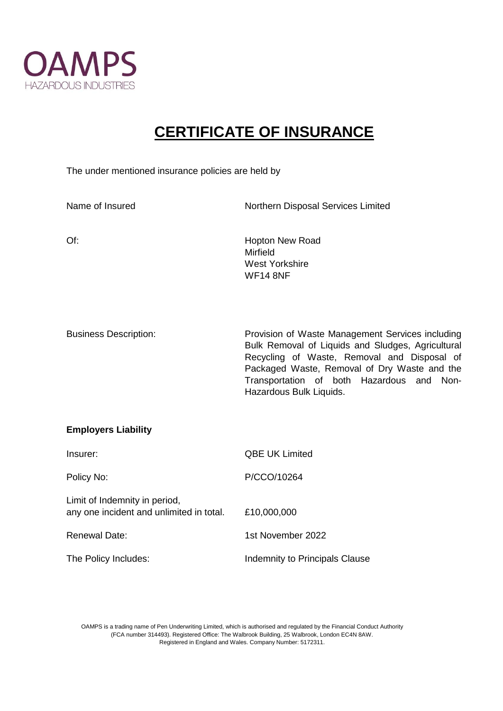

## **CERTIFICATE OF INSURANCE**

The under mentioned insurance policies are held by

Limit of Indemnity in period,

any one incident and unlimited in total. £10,000,000

Renewal Date: 1st November 2022

The Policy Includes: Indemnity to Principals Clause

| Name of Insured              | Northern Disposal Services Limited                                                                                                                                                                                                                                           |
|------------------------------|------------------------------------------------------------------------------------------------------------------------------------------------------------------------------------------------------------------------------------------------------------------------------|
| $Of$ :                       | <b>Hopton New Road</b><br>Mirfield<br><b>West Yorkshire</b><br><b>WF14 8NF</b>                                                                                                                                                                                               |
| <b>Business Description:</b> | Provision of Waste Management Services including<br>Bulk Removal of Liquids and Sludges, Agricultural<br>Recycling of Waste, Removal and Disposal of<br>Packaged Waste, Removal of Dry Waste and the<br>Transportation of both Hazardous and Non-<br>Hazardous Bulk Liquids. |
| <b>Employers Liability</b>   |                                                                                                                                                                                                                                                                              |
| Insurer:                     | <b>QBE UK Limited</b>                                                                                                                                                                                                                                                        |
| Policy No:                   | P/CCO/10264                                                                                                                                                                                                                                                                  |

OAMPS is a trading name of Pen Underwriting Limited, which is authorised and regulated by the Financial Conduct Authority (FCA number 314493). Registered Office: The Walbrook Building, 25 Walbrook, London EC4N 8AW. Registered in England and Wales. Company Number: 5172311.